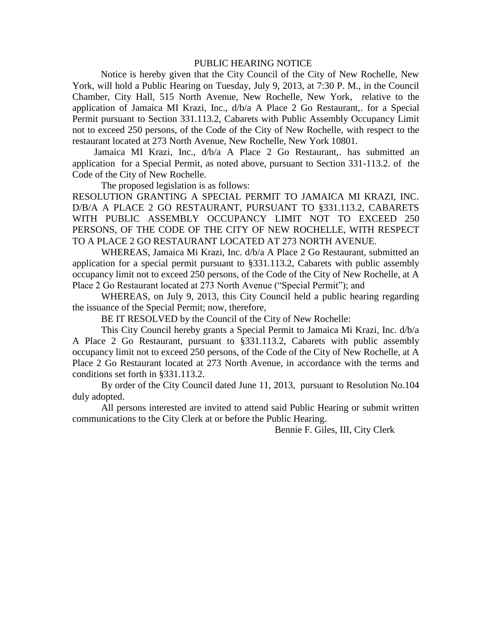## PUBLIC HEARING NOTICE

Notice is hereby given that the City Council of the City of New Rochelle, New York, will hold a Public Hearing on Tuesday, July 9, 2013, at 7:30 P. M., in the Council Chamber, City Hall, 515 North Avenue, New Rochelle, New York, relative to the application of Jamaica MI Krazi, Inc., d/b/a A Place 2 Go Restaurant,. for a Special Permit pursuant to Section 331.113.2, Cabarets with Public Assembly Occupancy Limit not to exceed 250 persons, of the Code of the City of New Rochelle, with respect to the restaurant located at 273 North Avenue, New Rochelle, New York 10801.

 Jamaica MI Krazi, Inc., d/b/a A Place 2 Go Restaurant,. has submitted an application for a Special Permit, as noted above, pursuant to Section 331-113.2. of the Code of the City of New Rochelle.

The proposed legislation is as follows:

RESOLUTION GRANTING A SPECIAL PERMIT TO JAMAICA MI KRAZI, INC. D/B/A A PLACE 2 GO RESTAURANT, PURSUANT TO §331.113.2, CABARETS WITH PUBLIC ASSEMBLY OCCUPANCY LIMIT NOT TO EXCEED 250 PERSONS, OF THE CODE OF THE CITY OF NEW ROCHELLE, WITH RESPECT TO A PLACE 2 GO RESTAURANT LOCATED AT 273 NORTH AVENUE.

WHEREAS, Jamaica Mi Krazi, Inc. d/b/a A Place 2 Go Restaurant, submitted an application for a special permit pursuant to §331.113.2, Cabarets with public assembly occupancy limit not to exceed 250 persons, of the Code of the City of New Rochelle, at A Place 2 Go Restaurant located at 273 North Avenue ("Special Permit"); and

WHEREAS, on July 9, 2013, this City Council held a public hearing regarding the issuance of the Special Permit; now, therefore,

BE IT RESOLVED by the Council of the City of New Rochelle:

This City Council hereby grants a Special Permit to Jamaica Mi Krazi, Inc. d/b/a A Place 2 Go Restaurant, pursuant to §331.113.2, Cabarets with public assembly occupancy limit not to exceed 250 persons, of the Code of the City of New Rochelle, at A Place 2 Go Restaurant located at 273 North Avenue, in accordance with the terms and conditions set forth in §331.113.2.

By order of the City Council dated June 11, 2013, pursuant to Resolution No.104 duly adopted.

All persons interested are invited to attend said Public Hearing or submit written communications to the City Clerk at or before the Public Hearing.

Bennie F. Giles, III, City Clerk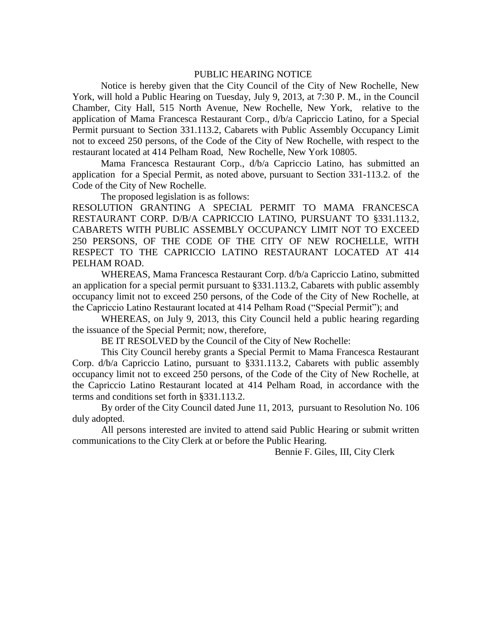## PUBLIC HEARING NOTICE

Notice is hereby given that the City Council of the City of New Rochelle, New York, will hold a Public Hearing on Tuesday, July 9, 2013, at 7:30 P. M., in the Council Chamber, City Hall, 515 North Avenue, New Rochelle, New York, relative to the application of Mama Francesca Restaurant Corp., d/b/a Capriccio Latino, for a Special Permit pursuant to Section 331.113.2, Cabarets with Public Assembly Occupancy Limit not to exceed 250 persons, of the Code of the City of New Rochelle, with respect to the restaurant located at 414 Pelham Road, New Rochelle, New York 10805.

Mama Francesca Restaurant Corp., d/b/a Capriccio Latino, has submitted an application for a Special Permit, as noted above, pursuant to Section 331-113.2. of the Code of the City of New Rochelle.

The proposed legislation is as follows:

RESOLUTION GRANTING A SPECIAL PERMIT TO MAMA FRANCESCA RESTAURANT CORP. D/B/A CAPRICCIO LATINO, PURSUANT TO §331.113.2, CABARETS WITH PUBLIC ASSEMBLY OCCUPANCY LIMIT NOT TO EXCEED 250 PERSONS, OF THE CODE OF THE CITY OF NEW ROCHELLE, WITH RESPECT TO THE CAPRICCIO LATINO RESTAURANT LOCATED AT 414 PELHAM ROAD.

WHEREAS, Mama Francesca Restaurant Corp. d/b/a Capriccio Latino, submitted an application for a special permit pursuant to §331.113.2, Cabarets with public assembly occupancy limit not to exceed 250 persons, of the Code of the City of New Rochelle, at the Capriccio Latino Restaurant located at 414 Pelham Road ("Special Permit"); and

WHEREAS, on July 9, 2013, this City Council held a public hearing regarding the issuance of the Special Permit; now, therefore,

BE IT RESOLVED by the Council of the City of New Rochelle:

This City Council hereby grants a Special Permit to Mama Francesca Restaurant Corp. d/b/a Capriccio Latino, pursuant to §331.113.2, Cabarets with public assembly occupancy limit not to exceed 250 persons, of the Code of the City of New Rochelle, at the Capriccio Latino Restaurant located at 414 Pelham Road, in accordance with the terms and conditions set forth in §331.113.2.

By order of the City Council dated June 11, 2013, pursuant to Resolution No. 106 duly adopted.

All persons interested are invited to attend said Public Hearing or submit written communications to the City Clerk at or before the Public Hearing.

Bennie F. Giles, III, City Clerk